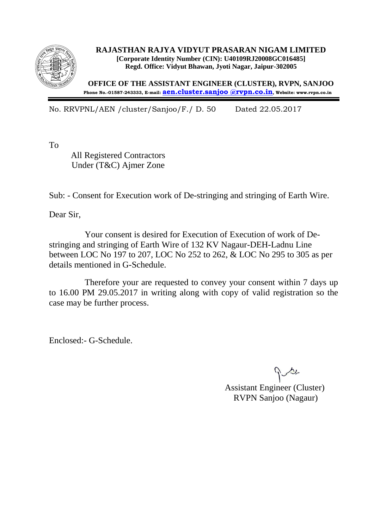

**RAJASTHAN RAJYA VIDYUT PRASARAN NIGAM LIMITED [Corporate Identity Number (CIN): U40109RJ20008GC016485] Regd. Office: Vidyut Bhawan, Jyoti Nagar, Jaipur-302005**

**OFFICE OF THE ASSISTANT ENGINEER (CLUSTER), RVPN, SANJOO Phone No.-01587-243333, E-mail: [aen.cluster.sanjoo @rvpn.co.in](http://aen.cluster.sanjoo%20@rvpn.co.in/), Website: www.rvpn.co.in**

No. RRVPNL/AEN /cluster/Sanjoo/F./ D. 50 Dated 22.05.2017

To

 All Registered Contractors Under (T&C) Ajmer Zone

Sub: - Consent for Execution work of De-stringing and stringing of Earth Wire.

Dear Sir,

 Your consent is desired for Execution of Execution of work of Destringing and stringing of Earth Wire of 132 KV Nagaur-DEH-Ladnu Line between LOC No 197 to 207, LOC No 252 to 262, & LOC No 295 to 305 as per details mentioned in G-Schedule.

 Therefore your are requested to convey your consent within 7 days up to 16.00 PM 29.05.2017 in writing along with copy of valid registration so the case may be further process.

Enclosed:- G-Schedule.

 Assistant Engineer (Cluster) RVPN Sanjoo (Nagaur)